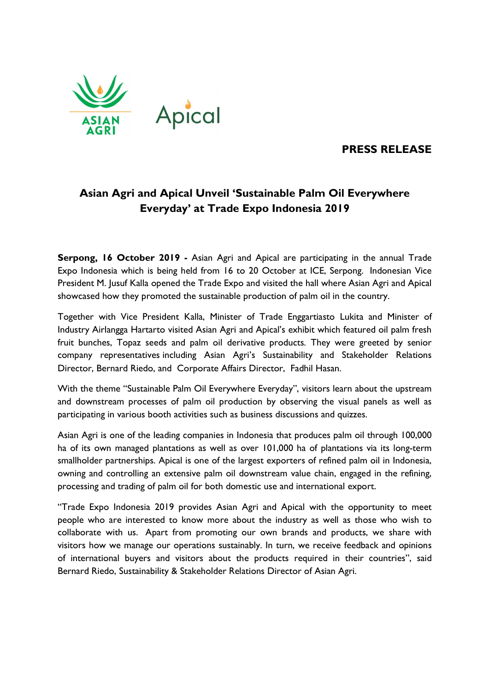

# PRESS RELEASE

# Asian Agri and Apical Unveil 'Sustainable Palm Oil Everywhere Everyday' at Trade Expo Indonesia 2019

Serpong, 16 October 2019 - Asian Agri and Apical are participating in the annual Trade Expo Indonesia which is being held from 16 to 20 October at ICE, Serpong. Indonesian Vice President M. Jusuf Kalla opened the Trade Expo and visited the hall where Asian Agri and Apical showcased how they promoted the sustainable production of palm oil in the country.

Together with Vice President Kalla, Minister of Trade Enggartiasto Lukita and Minister of Industry Airlangga Hartarto visited Asian Agri and Apical's exhibit which featured oil palm fresh fruit bunches, Topaz seeds and palm oil derivative products. They were greeted by senior company representatives including Asian Agri's Sustainability and Stakeholder Relations Director, Bernard Riedo, and Corporate Affairs Director, Fadhil Hasan.

With the theme "Sustainable Palm Oil Everywhere Everyday", visitors learn about the upstream and downstream processes of palm oil production by observing the visual panels as well as participating in various booth activities such as business discussions and quizzes.

Asian Agri is one of the leading companies in Indonesia that produces palm oil through 100,000 ha of its own managed plantations as well as over 101,000 ha of plantations via its long-term smallholder partnerships. Apical is one of the largest exporters of refined palm oil in Indonesia, owning and controlling an extensive palm oil downstream value chain, engaged in the refining, processing and trading of palm oil for both domestic use and international export.

"Trade Expo Indonesia 2019 provides Asian Agri and Apical with the opportunity to meet people who are interested to know more about the industry as well as those who wish to collaborate with us. Apart from promoting our own brands and products, we share with visitors how we manage our operations sustainably. In turn, we receive feedback and opinions of international buyers and visitors about the products required in their countries", said Bernard Riedo, Sustainability & Stakeholder Relations Director of Asian Agri.